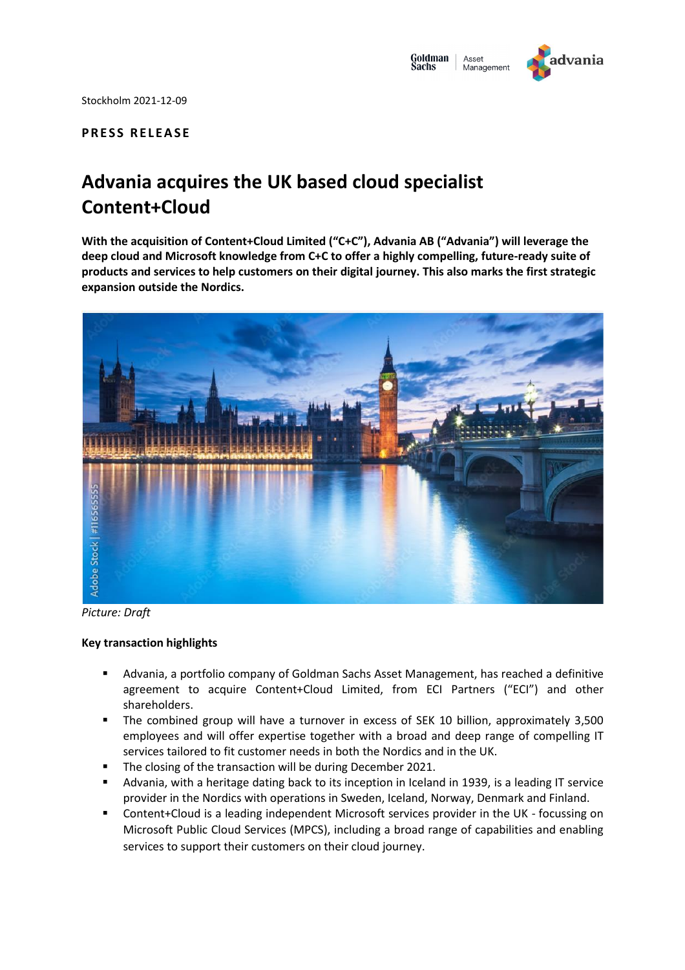

Stockholm 2021-12-09

## **P R E S S R E L E A S E**

# **Advania acquires the UK based cloud specialist Content+Cloud**

**With the acquisition of Content+Cloud Limited ("C+C"), Advania AB ("Advania") will leverage the deep cloud and Microsoft knowledge from C+C to offer a highly compelling, future-ready suite of products and services to help customers on their digital journey. This also marks the first strategic expansion outside the Nordics.**



*Picture: Draft*

### **Key transaction highlights**

- Advania, a portfolio company of Goldman Sachs Asset Management, has reached a definitive agreement to acquire Content+Cloud Limited, from ECI Partners ("ECI") and other shareholders.
- The combined group will have a turnover in excess of SEK 10 billion, approximately 3,500 employees and will offer expertise together with a broad and deep range of compelling IT services tailored to fit customer needs in both the Nordics and in the UK.
- **The closing of the transaction will be during December 2021.**
- Advania, with a heritage dating back to its inception in Iceland in 1939, is a leading IT service provider in the Nordics with operations in Sweden, Iceland, Norway, Denmark and Finland.
- Content+Cloud is a leading independent Microsoft services provider in the UK focussing on Microsoft Public Cloud Services (MPCS), including a broad range of capabilities and enabling services to support their customers on their cloud journey.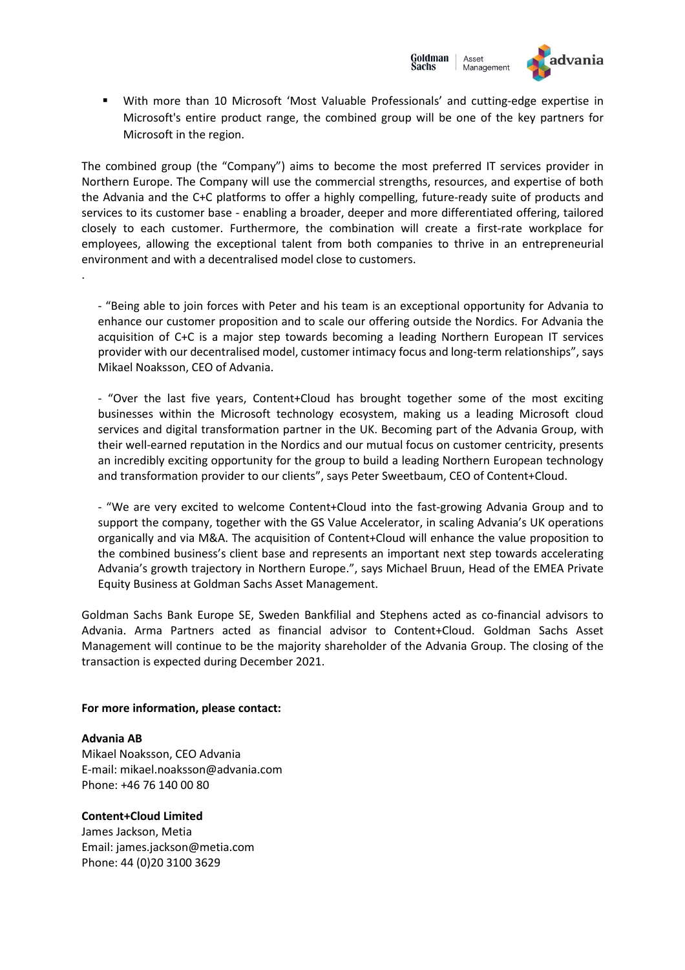

 With more than 10 Microsoft 'Most Valuable Professionals' and cutting-edge expertise in Microsoft's entire product range, the combined group will be one of the key partners for Microsoft in the region.

The combined group (the "Company") aims to become the most preferred IT services provider in Northern Europe. The Company will use the commercial strengths, resources, and expertise of both the Advania and the C+C platforms to offer a highly compelling, future-ready suite of products and services to its customer base - enabling a broader, deeper and more differentiated offering, tailored closely to each customer. Furthermore, the combination will create a first-rate workplace for employees, allowing the exceptional talent from both companies to thrive in an entrepreneurial environment and with a decentralised model close to customers.

- "Being able to join forces with Peter and his team is an exceptional opportunity for Advania to enhance our customer proposition and to scale our offering outside the Nordics. For Advania the acquisition of C+C is a major step towards becoming a leading Northern European IT services provider with our decentralised model, customer intimacy focus and long-term relationships", says Mikael Noaksson, CEO of Advania.

- "Over the last five years, Content+Cloud has brought together some of the most exciting businesses within the Microsoft technology ecosystem, making us a leading Microsoft cloud services and digital transformation partner in the UK. Becoming part of the Advania Group, with their well-earned reputation in the Nordics and our mutual focus on customer centricity, presents an incredibly exciting opportunity for the group to build a leading Northern European technology and transformation provider to our clients", says Peter Sweetbaum, CEO of Content+Cloud.

- "We are very excited to welcome Content+Cloud into the fast-growing Advania Group and to support the company, together with the GS Value Accelerator, in scaling Advania's UK operations organically and via M&A. The acquisition of Content+Cloud will enhance the value proposition to the combined business's client base and represents an important next step towards accelerating Advania's growth trajectory in Northern Europe.", says Michael Bruun, Head of the EMEA Private Equity Business at Goldman Sachs Asset Management.

Goldman Sachs Bank Europe SE, Sweden Bankfilial and Stephens acted as co-financial advisors to Advania. Arma Partners acted as financial advisor to Content+Cloud. Goldman Sachs Asset Management will continue to be the majority shareholder of the Advania Group. The closing of the transaction is expected during December 2021.

### **For more information, please contact:**

### **Advania AB**

.

Mikael Noaksson, CEO Advania E-mail: mikael.noaksson@advania.com Phone: +46 76 140 00 80

### **Content+Cloud Limited**

James Jackson, Metia Email: james.jackson@metia.com Phone: 44 (0)20 3100 3629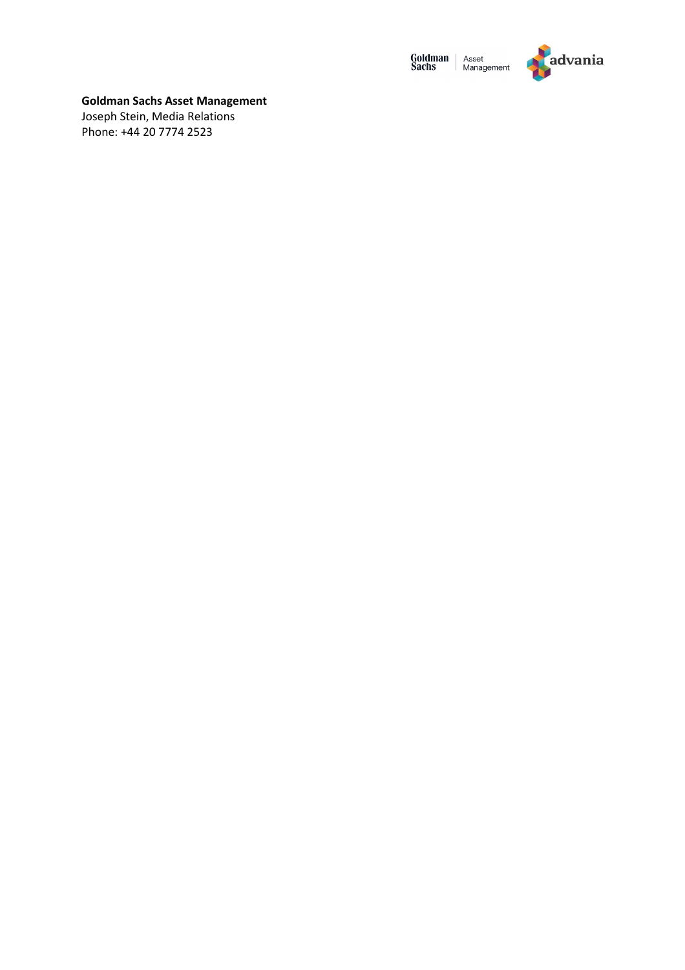



## **Goldman Sachs Asset Management**

Joseph Stein, Media Relations Phone: +44 20 7774 2523